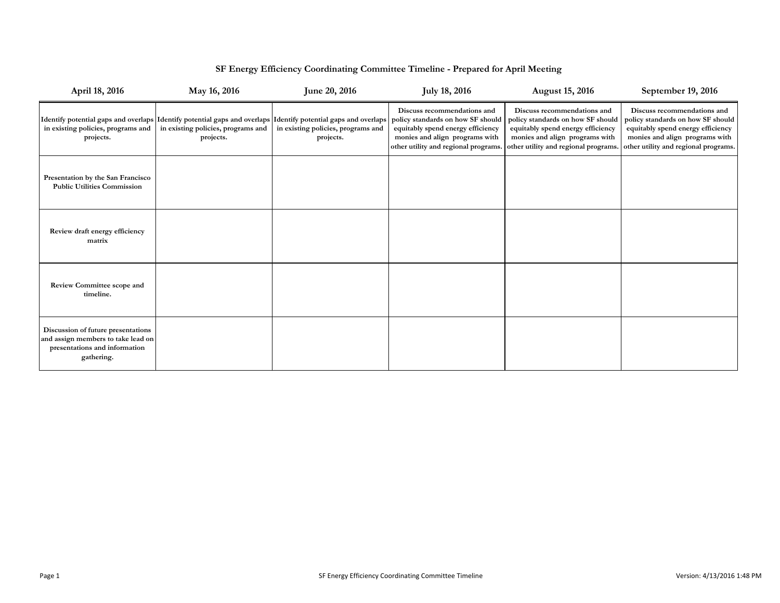| April 18, 2016                                                                                                          | May 16, 2016                                                                                                                                                      | June 20, 2016                                   | <b>July 18, 2016</b>                                                                                                                                                            | <b>August 15, 2016</b>                                                                                                                                                          | September 19, 2016                                                                                                                                                              |
|-------------------------------------------------------------------------------------------------------------------------|-------------------------------------------------------------------------------------------------------------------------------------------------------------------|-------------------------------------------------|---------------------------------------------------------------------------------------------------------------------------------------------------------------------------------|---------------------------------------------------------------------------------------------------------------------------------------------------------------------------------|---------------------------------------------------------------------------------------------------------------------------------------------------------------------------------|
| in existing policies, programs and<br>projects.                                                                         | Identify potential gaps and overlaps Identify potential gaps and overlaps Identify potential gaps and overlaps<br>in existing policies, programs and<br>projects. | in existing policies, programs and<br>projects. | Discuss recommendations and<br>policy standards on how SF should<br>equitably spend energy efficiency<br>monies and align programs with<br>other utility and regional programs. | Discuss recommendations and<br>policy standards on how SF should<br>equitably spend energy efficiency<br>monies and align programs with<br>other utility and regional programs. | Discuss recommendations and<br>policy standards on how SF should<br>equitably spend energy efficiency<br>monies and align programs with<br>other utility and regional programs. |
| Presentation by the San Francisco<br><b>Public Utilities Commission</b>                                                 |                                                                                                                                                                   |                                                 |                                                                                                                                                                                 |                                                                                                                                                                                 |                                                                                                                                                                                 |
| Review draft energy efficiency<br>matrix                                                                                |                                                                                                                                                                   |                                                 |                                                                                                                                                                                 |                                                                                                                                                                                 |                                                                                                                                                                                 |
| <b>Review Committee scope and</b><br>timeline.                                                                          |                                                                                                                                                                   |                                                 |                                                                                                                                                                                 |                                                                                                                                                                                 |                                                                                                                                                                                 |
| Discussion of future presentations<br>and assign members to take lead on<br>presentations and information<br>gathering. |                                                                                                                                                                   |                                                 |                                                                                                                                                                                 |                                                                                                                                                                                 |                                                                                                                                                                                 |

## **SF Energy Efficiency Coordinating Committee Timeline - Prepared for April Meeting**